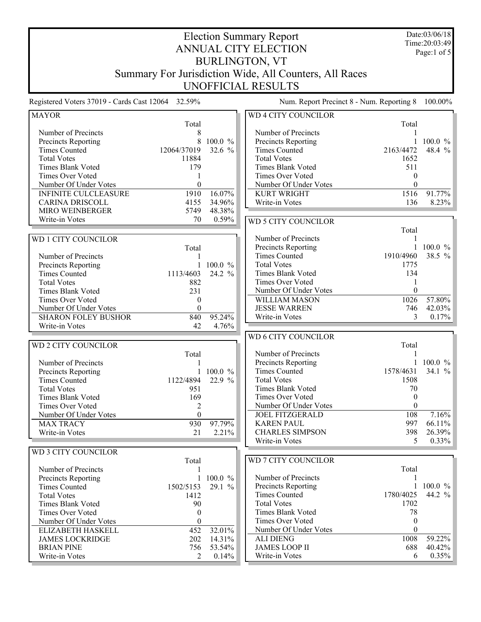Date:03/06/18 Time:20:03:49 Page:1 of 5

## Election Summary Report ANNUAL CITY ELECTION BURLINGTON, VT Summary For Jurisdiction Wide, All Counters, All Races UNOFFICIAL RESULTS

| <b>MAYOR</b>                |                  |             | WD 4 CITY COUNCILOR        |                  |              |
|-----------------------------|------------------|-------------|----------------------------|------------------|--------------|
|                             | Total            |             |                            | Total            |              |
| Number of Precincts         | 8                |             | Number of Precincts        |                  |              |
| Precincts Reporting         | 8                | 100.0 %     | Precincts Reporting        | 1                | $100.0 \%$   |
| <b>Times Counted</b>        | 12064/37019      | 32.6 %      | <b>Times Counted</b>       | 2163/4472        | 48.4 %       |
| <b>Total Votes</b>          | 11884            |             | <b>Total Votes</b>         | 1652             |              |
| <b>Times Blank Voted</b>    | 179              |             | <b>Times Blank Voted</b>   | 511              |              |
| Times Over Voted            | 1                |             | Times Over Voted           | $\theta$         |              |
| Number Of Under Votes       | $\theta$         |             | Number Of Under Votes      | $\theta$         |              |
| <b>INFINITE CULCLEASURE</b> | 1910             | 16.07%      | KURT WRIGHT                | 1516             | 91.77%       |
| <b>CARINA DRISCOLL</b>      | 4155             | 34.96%      | Write-in Votes             | 136              | 8.23%        |
| MIRO WEINBERGER             | 5749             | 48.38%      |                            |                  |              |
| Write-in Votes              | 70               | 0.59%       |                            |                  |              |
|                             |                  |             | <b>WD 5 CITY COUNCILOR</b> |                  |              |
|                             |                  |             |                            | Total            |              |
| WD 1 CITY COUNCILOR         |                  |             | Number of Precincts        |                  |              |
|                             | Total            |             | Precincts Reporting        | $\mathbf{1}$     | 100.0 %      |
| Number of Precincts         |                  |             | <b>Times Counted</b>       | 1910/4960        | 38.5 %       |
| Precincts Reporting         | $\mathbf{1}$     | 100.0 %     | <b>Total Votes</b>         | 1775             |              |
| <b>Times Counted</b>        | 1113/4603        | 24.2 %      | Times Blank Voted          | 134              |              |
| <b>Total Votes</b>          | 882              |             | Times Over Voted           |                  |              |
| Times Blank Voted           | 231              |             | Number Of Under Votes      | $\theta$         |              |
| Times Over Voted            | $\boldsymbol{0}$ |             | WILLIAM MASON              | 1026             | 57.80%       |
| Number Of Under Votes       | $\theta$         |             | <b>JESSE WARREN</b>        | 746              | 42.03%       |
| <b>SHARON FOLEY BUSHOR</b>  | 840              | 95.24%      | Write-in Votes             | 3                | 0.17%        |
| Write-in Votes              | 42               | 4.76%       |                            |                  |              |
|                             |                  |             | <b>WD 6 CITY COUNCILOR</b> |                  |              |
| <b>WD 2 CITY COUNCILOR</b>  |                  |             |                            | Total            |              |
|                             | Total            |             | Number of Precincts        |                  |              |
| Number of Precincts         | 1                |             | Precincts Reporting        |                  | 1 100.0 $\%$ |
| Precincts Reporting         |                  | 1 100.0 $%$ | <b>Times Counted</b>       | 1578/4631        | 34.1 $%$     |
| <b>Times Counted</b>        | 1122/4894        | 22.9 %      | <b>Total Votes</b>         | 1508             |              |
| <b>Total Votes</b>          | 951              |             | <b>Times Blank Voted</b>   | 70               |              |
| Times Blank Voted           | 169              |             | Times Over Voted           | $\theta$         |              |
| <b>Times Over Voted</b>     | $\overline{c}$   |             | Number Of Under Votes      | $\theta$         |              |
| Number Of Under Votes       | $\theta$         |             | <b>JOEL FITZGERALD</b>     | 108              | 7.16%        |
| <b>MAX TRACY</b>            | 930              | 97.79%      | <b>KAREN PAUL</b>          | 997              | 66.11%       |
|                             |                  |             | <b>CHARLES SIMPSON</b>     | 398              | 26.39%       |
| Write-in Votes              | 21               | 2.21%       | Write-in Votes             | 5                | 0.33%        |
|                             |                  |             |                            |                  |              |
| WD 3 CITY COUNCILOR         |                  |             |                            |                  |              |
|                             | Total            |             | WD 7 CITY COUNCILOR        |                  |              |
| Number of Precincts         | 1                |             |                            | Total            |              |
| Precincts Reporting         |                  | 1 100.0 $%$ | Number of Precincts        |                  |              |
| <b>Times Counted</b>        | 1502/5153        | 29.1 %      | <b>Precincts Reporting</b> |                  | 1 100.0 $\%$ |
| <b>Total Votes</b>          | 1412             |             | <b>Times Counted</b>       | 1780/4025        | 44.2 %       |
| <b>Times Blank Voted</b>    | 90               |             | <b>Total Votes</b>         | 1702             |              |
| <b>Times Over Voted</b>     | 0                |             | <b>Times Blank Voted</b>   | 78               |              |
| Number Of Under Votes       | $\theta$         |             | Times Over Voted           | $\boldsymbol{0}$ |              |
| ELIZABETH HASKELL           | 452              | 32.01%      | Number Of Under Votes      | $\boldsymbol{0}$ |              |
| <b>JAMES LOCKRIDGE</b>      | 202              | 14.31%      | <b>ALI DIENG</b>           | 1008             | 59.22%       |
| <b>BRIAN PINE</b>           | 756              | 53.54%      | <b>JAMES LOOP II</b>       | 688              | 40.42%       |
| Write-in Votes              | 2                | 0.14%       | Write-in Votes             | 6                | 0.35%        |
|                             |                  |             |                            |                  |              |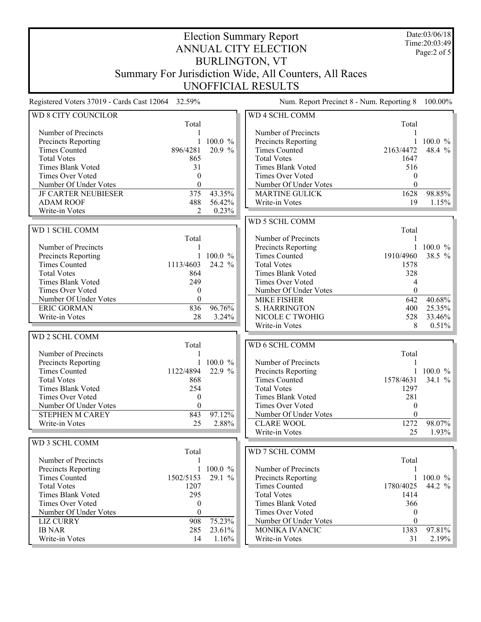Date:03/06/18 Time:20:03:49 Page:2 of 5

## Election Summary Report ANNUAL CITY ELECTION BURLINGTON, VT Summary For Jurisdiction Wide, All Counters, All Races UNOFFICIAL RESULTS

| WD 8 CITY COUNCILOR                         |                  |              | WD 4 SCHL COMM           |                  |              |
|---------------------------------------------|------------------|--------------|--------------------------|------------------|--------------|
|                                             | Total            |              |                          | Total            |              |
| Number of Precincts                         |                  |              | Number of Precincts      |                  |              |
| Precincts Reporting                         | 1                | $100.0 \%$   | Precincts Reporting      |                  | 1 100.0 $\%$ |
| <b>Times Counted</b>                        | 896/4281         | 20.9 %       | <b>Times Counted</b>     | 2163/4472        | 48.4 %       |
| <b>Total Votes</b>                          | 865              |              | <b>Total Votes</b>       | 1647             |              |
| Times Blank Voted                           | 31               |              | Times Blank Voted        | 516              |              |
| Times Over Voted                            | $\theta$         |              | Times Over Voted         | $\theta$         |              |
| Number Of Under Votes                       | $\theta$         |              | Number Of Under Votes    | $\theta$         |              |
| <b>JF CARTER NEUBIESER</b>                  | 375              | 43.35%       | <b>MARTINE GULICK</b>    | 1628             | 98.85%       |
| <b>ADAM ROOF</b>                            | 488              | 56.42%       | Write-in Votes           | 19               | 1.15%        |
| Write-in Votes                              | 2                | 0.23%        |                          |                  |              |
|                                             |                  |              | WD 5 SCHL COMM           |                  |              |
| WD 1 SCHL COMM                              |                  |              |                          | Total            |              |
|                                             | Total            |              | Number of Precincts      | 1                |              |
| Number of Precincts                         | 1                |              | Precincts Reporting      |                  | 1 100.0 $\%$ |
|                                             | 1                | 100.0 %      | <b>Times Counted</b>     | 1910/4960        | 38.5 %       |
| Precincts Reporting<br><b>Times Counted</b> |                  | 24.2 %       | <b>Total Votes</b>       |                  |              |
|                                             | 1113/4603        |              |                          | 1578             |              |
| <b>Total Votes</b>                          | 864              |              | Times Blank Voted        | 328              |              |
| <b>Times Blank Voted</b>                    | 249              |              | Times Over Voted         | 4                |              |
| <b>Times Over Voted</b>                     | $\mathbf{0}$     |              | Number Of Under Votes    | $\boldsymbol{0}$ |              |
| Number Of Under Votes                       | $\theta$         |              | <b>MIKE FISHER</b>       | 642              | 40.68%       |
| <b>ERIC GORMAN</b>                          | 836              | 96.76%       | <b>S. HARRINGTON</b>     | 400              | 25.35%       |
| Write-in Votes                              | 28               | 3.24%        | NICOLE C TWOHIG          | 528              | 33.46%       |
|                                             |                  |              | Write-in Votes           | 8                | 0.51%        |
| <b>WD 2 SCHL COMM</b>                       |                  |              |                          |                  |              |
|                                             | Total            |              | WD 6 SCHL COMM           |                  |              |
| Number of Precincts                         |                  |              |                          | Total            |              |
| Precincts Reporting                         | 1                | $100.0 \%$   | Number of Precincts      |                  |              |
| <b>Times Counted</b>                        | 1122/4894        | 22.9 %       | Precincts Reporting      |                  | 1 100.0 $\%$ |
| <b>Total Votes</b>                          | 868              |              | <b>Times Counted</b>     | 1578/4631        | 34.1 %       |
| Times Blank Voted                           | 254              |              | <b>Total Votes</b>       | 1297             |              |
| Times Over Voted                            | $\mathbf{0}$     |              | <b>Times Blank Voted</b> | 281              |              |
| Number Of Under Votes                       | $\theta$         |              | <b>Times Over Voted</b>  | $\theta$         |              |
| <b>STEPHEN M CAREY</b>                      | 843              | 97.12%       | Number Of Under Votes    | $\theta$         |              |
| Write-in Votes                              | 25               | 2.88%        | <b>CLARE WOOL</b>        | 1272             | 98.07%       |
|                                             |                  |              | Write-in Votes           | 25               | 1.93%        |
|                                             |                  |              |                          |                  |              |
| WD 3 SCHL COMM                              |                  |              |                          |                  |              |
|                                             | Total            |              | WD 7 SCHL COMM           |                  |              |
| Number of Precincts                         | 1                |              |                          | Total            |              |
| Precincts Reporting                         |                  | 1 100.0 $\%$ | Number of Precincts      | 1                |              |
| <b>Times Counted</b>                        | 1502/5153        | 29.1 %       | Precincts Reporting      |                  | 1 100.0 $\%$ |
| <b>Total Votes</b>                          | 1207             |              | <b>Times Counted</b>     | 1780/4025        | 44.2 %       |
| <b>Times Blank Voted</b>                    | 295              |              | <b>Total Votes</b>       | 1414             |              |
| Times Over Voted                            | $\boldsymbol{0}$ |              | Times Blank Voted        | 366              |              |
|                                             |                  |              |                          |                  |              |
| Number Of Under Votes                       | $\theta$         |              | Times Over Voted         | $\boldsymbol{0}$ |              |
| <b>LIZ CURRY</b>                            | 908              | 75.23%       | Number Of Under Votes    | $\boldsymbol{0}$ |              |
| <b>IB NAR</b>                               | 285              | 23.61%       | MONIKA IVANCIC           | 1383             | 97.81%       |
| Write-in Votes                              | 14               | 1.16%        | Write-in Votes           | 31               | 2.19%        |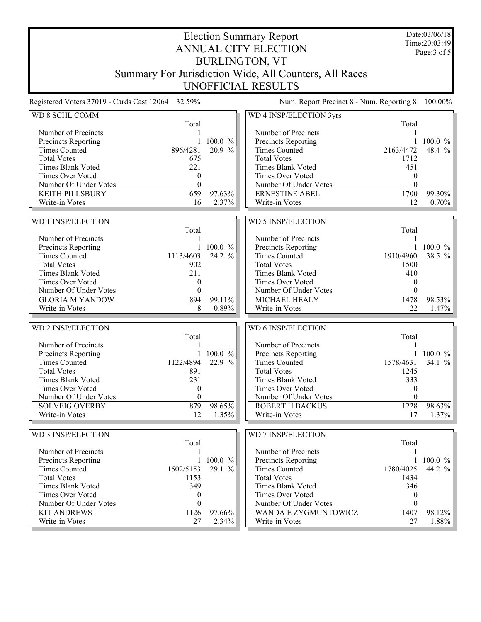Date:03/06/18 Time:20:03:49 Page:3 of 5

## Election Summary Report ANNUAL CITY ELECTION BURLINGTON, VT Summary For Jurisdiction Wide, All Counters, All Races UNOFFICIAL RESULTS

| WD 8 SCHL COMM                          |                  |                 | WD 4 INSP/ELECTION 3yrs                         |                  |                 |
|-----------------------------------------|------------------|-----------------|-------------------------------------------------|------------------|-----------------|
|                                         | Total            |                 |                                                 | Total            |                 |
| Number of Precincts                     |                  |                 | Number of Precincts                             | 1                |                 |
| Precincts Reporting                     | $\mathbf{1}$     | 100.0 %         | Precincts Reporting                             | $\mathbf{1}$     | $100.0 \%$      |
| <b>Times Counted</b>                    | 896/4281         | 20.9 %          | <b>Times Counted</b>                            | 2163/4472        | 48.4 %          |
| <b>Total Votes</b>                      | 675              |                 | <b>Total Votes</b>                              | 1712             |                 |
| <b>Times Blank Voted</b>                | 221              |                 | Times Blank Voted                               | 451              |                 |
| Times Over Voted                        | $\mathbf{0}$     |                 | Times Over Voted                                | $\theta$         |                 |
| Number Of Under Votes                   | $\theta$         |                 | Number Of Under Votes                           | $\theta$         |                 |
| <b>KEITH PILLSBURY</b>                  | 659              | 97.63%          | <b>ERNESTINE ABEL</b>                           | 1700             | 99.30%          |
| Write-in Votes                          | 16               | 2.37%           | Write-in Votes                                  | 12               | 0.70%           |
|                                         |                  |                 |                                                 |                  |                 |
| <b>WD 1 INSP/ELECTION</b>               |                  |                 | WD 5 INSP/ELECTION                              |                  |                 |
|                                         | Total            |                 |                                                 | Total            |                 |
| Number of Precincts                     |                  |                 | Number of Precincts                             |                  |                 |
|                                         | 1                |                 |                                                 | 1                |                 |
| Precincts Reporting                     |                  | 100.0 %         | Precincts Reporting                             |                  | $100.0 \%$      |
| <b>Times Counted</b>                    | 1113/4603        | 24.2 %          | <b>Times Counted</b>                            | 1910/4960        | 38.5 %          |
| <b>Total Votes</b>                      | 902              |                 | <b>Total Votes</b>                              | 1500             |                 |
| <b>Times Blank Voted</b>                | 211              |                 | Times Blank Voted                               | 410              |                 |
| Times Over Voted                        | 0                |                 | Times Over Voted                                | $\mathbf{0}$     |                 |
| Number Of Under Votes                   | $\theta$         |                 | Number Of Under Votes                           | $\Omega$         |                 |
| <b>GLORIA M YANDOW</b>                  | 894              | 99.11%          | MICHAEL HEALY                                   | 1478             | 98.53%          |
| Write-in Votes                          | 8                | 0.89%           | Write-in Votes                                  | 22               | 1.47%           |
|                                         |                  |                 |                                                 |                  |                 |
|                                         |                  |                 |                                                 |                  |                 |
| WD 2 INSP/ELECTION                      |                  |                 | WD 6 INSP/ELECTION                              |                  |                 |
|                                         | Total            |                 |                                                 | Total            |                 |
| Number of Precincts                     |                  |                 | Number of Precincts                             |                  |                 |
| Precincts Reporting                     |                  | 100.0 %         | Precincts Reporting                             | $\mathbf{1}$     | 100.0 %         |
| <b>Times Counted</b>                    | 1122/4894        | 22.9 %          | <b>Times Counted</b>                            | 1578/4631        | 34.1 %          |
| <b>Total Votes</b>                      | 891              |                 | <b>Total Votes</b>                              | 1245             |                 |
| <b>Times Blank Voted</b>                | 231              |                 | Times Blank Voted                               | 333              |                 |
| <b>Times Over Voted</b>                 | $\mathbf{0}$     |                 | Times Over Voted                                | $\theta$         |                 |
|                                         | $\theta$         |                 |                                                 | $\theta$         |                 |
| Number Of Under Votes                   |                  |                 | Number Of Under Votes<br><b>ROBERT H BACKUS</b> |                  |                 |
| <b>SOLVEIG OVERBY</b><br>Write-in Votes | 879<br>12        | 98.65%          |                                                 | 1228<br>17       | 98.63%          |
|                                         |                  | 1.35%           | Write-in Votes                                  |                  | 1.37%           |
|                                         |                  |                 |                                                 |                  |                 |
| WD 3 INSP/ELECTION                      |                  |                 | <b>WD 7 INSP/ELECTION</b>                       |                  |                 |
|                                         | Total            |                 |                                                 | Total            |                 |
| Number of Precincts                     |                  |                 | Number of Precincts                             |                  |                 |
| <b>Precincts Reporting</b>              |                  | 1 100.0 $%$     | <b>Precincts Reporting</b>                      |                  | 1 100.0 $\%$    |
| <b>Times Counted</b>                    | 1502/5153        | 29.1 %          | <b>Times Counted</b>                            | 1780/4025        | 44.2 %          |
| <b>Total Votes</b>                      | 1153             |                 | <b>Total Votes</b>                              | 1434             |                 |
| Times Blank Voted                       | 349              |                 | Times Blank Voted                               | 346              |                 |
| <b>Times Over Voted</b>                 | $\bf{0}$         |                 | Times Over Voted                                | $\boldsymbol{0}$ |                 |
| Number Of Under Votes                   | $\boldsymbol{0}$ |                 | Number Of Under Votes                           | $\mathbf{0}$     |                 |
| <b>KIT ANDREWS</b><br>Write-in Votes    | 1126<br>27       | 97.66%<br>2.34% | WANDA E ZYGMUNTOWICZ<br>Write-in Votes          | 1407<br>27       | 98.12%<br>1.88% |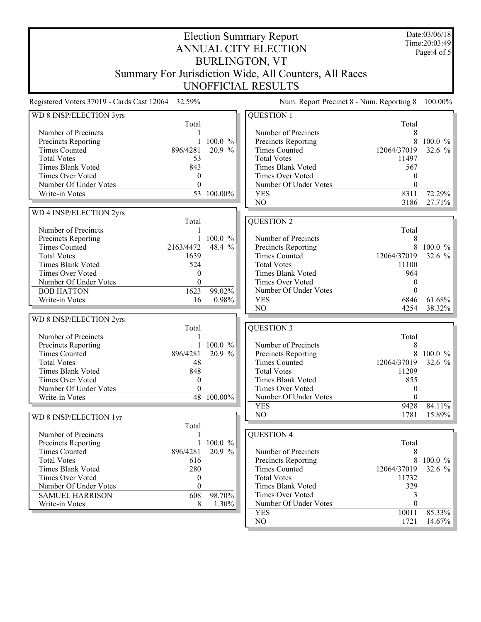Date:03/06/18 Time:20:03:49 Page:4 of 5

## Election Summary Report ANNUAL CITY ELECTION BURLINGTON, VT Summary For Jurisdiction Wide, All Counters, All Races UNOFFICIAL RESULTS

| WD 8 INSP/ELECTION 3yrs  |                |                       | <b>QUESTION 1</b>                           |               |                  |
|--------------------------|----------------|-----------------------|---------------------------------------------|---------------|------------------|
|                          | Total          |                       |                                             | Total         |                  |
| Number of Precincts      |                |                       | Number of Precincts                         | 8             |                  |
| Precincts Reporting      | 1              | 100.0 %               | Precincts Reporting                         | 8             | 100.0 %          |
| <b>Times Counted</b>     | 896/4281       | 20.9 %                | <b>Times Counted</b>                        | 12064/37019   | 32.6 %           |
| <b>Total Votes</b>       | 53             |                       | <b>Total Votes</b>                          | 11497         |                  |
| Times Blank Voted        | 843            |                       | Times Blank Voted                           | 567           |                  |
| Times Over Voted         | $\theta$       |                       | Times Over Voted                            | 0             |                  |
| Number Of Under Votes    | $\theta$       |                       | Number Of Under Votes                       | $\theta$      |                  |
| Write-in Votes           |                | 53 100.00%            | <b>YES</b>                                  | 8311          | 72.29%           |
|                          |                |                       | NO                                          | 3186          | 27.71%           |
| WD 4 INSP/ELECTION 2yrs  |                |                       |                                             |               |                  |
|                          | Total          |                       | <b>QUESTION 2</b>                           |               |                  |
| Number of Precincts      |                |                       |                                             | Total         |                  |
| Precincts Reporting      | $\mathbf{1}$   | $100.0 \%$            | Number of Precincts                         | 8             |                  |
| <b>Times Counted</b>     | 2163/4472      | 48.4<br>$\frac{0}{0}$ |                                             | $\,$ 8 $\,$   | 100.0 %          |
| <b>Total Votes</b>       | 1639           |                       | Precincts Reporting<br><b>Times Counted</b> | 12064/37019   | 32.6 %           |
|                          |                |                       |                                             |               |                  |
| <b>Times Blank Voted</b> | 524            |                       | <b>Total Votes</b>                          | 11100         |                  |
| <b>Times Over Voted</b>  | $\Omega$       |                       | Times Blank Voted                           | 964           |                  |
| Number Of Under Votes    | $\Omega$       |                       | Times Over Voted                            | $\mathbf{0}$  |                  |
| <b>BOB HATTON</b>        | 1623           | 99.02%                | Number Of Under Votes                       | $\Omega$      |                  |
| Write-in Votes           | 16             | 0.98%                 | <b>YES</b>                                  | 6846          | 61.68%           |
|                          |                |                       | NO                                          | 4254          | 38.32%           |
| WD 8 INSP/ELECTION 2yrs  |                |                       |                                             |               |                  |
|                          | Total          |                       | <b>QUESTION 3</b>                           |               |                  |
| Number of Precincts      | 1              |                       |                                             | Total         |                  |
| Precincts Reporting      | $\mathbf{1}$   | $100.0 \%$            | Number of Precincts                         | 8             |                  |
| <b>Times Counted</b>     | 896/4281       | 20.9 %                | Precincts Reporting                         | 8             | $100.0 \%$       |
| <b>Total Votes</b>       | 48             |                       | <b>Times Counted</b>                        | 12064/37019   | 32.6 %           |
| <b>Times Blank Voted</b> | 848            |                       | <b>Total Votes</b>                          | 11209         |                  |
| Times Over Voted         | $\overline{0}$ |                       | <b>Times Blank Voted</b>                    | 855           |                  |
| Number Of Under Votes    | $\theta$       |                       | <b>Times Over Voted</b>                     | $\theta$      |                  |
| Write-in Votes           | 48             | 100.00%               | Number Of Under Votes                       | $\theta$      |                  |
|                          |                |                       | <b>YES</b>                                  | 9428          | 84.11%           |
| WD 8 INSP/ELECTION 1yr   |                |                       | NO                                          | 1781          | 15.89%           |
|                          | Total          |                       |                                             |               |                  |
| Number of Precincts      |                |                       | <b>QUESTION 4</b>                           |               |                  |
| Precincts Reporting      | $\mathbf{1}$   | 100.0 %               |                                             | Total         |                  |
| <b>Times Counted</b>     | 896/4281       | 20.9 %                | Number of Precincts                         | 8             |                  |
| <b>Total Votes</b>       | 616            |                       | Precincts Reporting                         |               | 8 100.0 %        |
| Times Blank Voted        | 280            |                       | <b>Times Counted</b>                        | 12064/37019   | 32.6 $%$         |
| Times Over Voted         | $\mathbf{0}$   |                       | <b>Total Votes</b>                          | 11732         |                  |
| Number Of Under Votes    | $\mathbf{0}$   |                       | <b>Times Blank Voted</b>                    | 329           |                  |
| <b>SAMUEL HARRISON</b>   | 608            | 98.70%                | Times Over Voted                            | 3             |                  |
| Write-in Votes           | 8              |                       | Number Of Under Votes                       | $\theta$      |                  |
|                          |                | 1.30%                 |                                             |               |                  |
|                          |                |                       |                                             |               |                  |
|                          |                |                       | <b>YES</b><br>NO                            | 10011<br>1721 | 85.33%<br>14.67% |